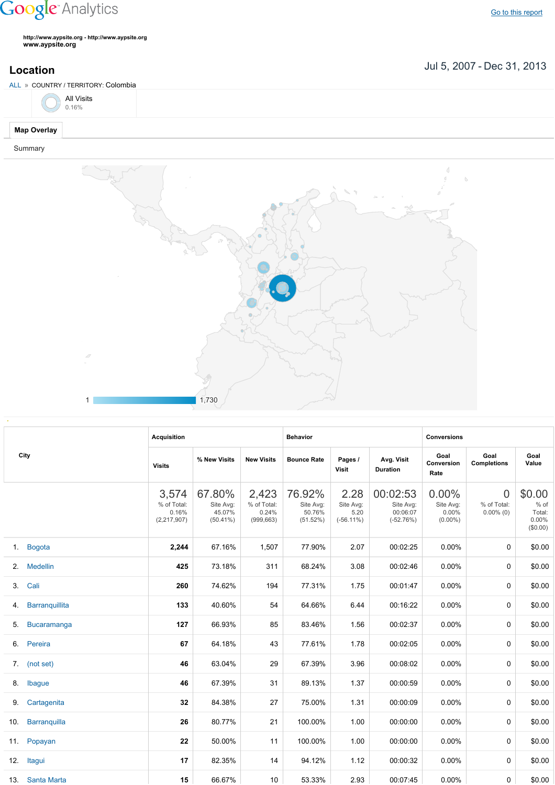## **Google** Analytics

Go to this [report](https://www.google.com/analytics/web/?utm_source=pdfReportLink#report/visitors-geo/a2184169w3912412p4016214/%3F_u.date00%3D20070705%26_u.date01%3D20131231%26geo-table.plotKeys%3D%5B%5D%26geo-table.rowStart%3D0%26geo-table.rowCount%3D1000%26_r.drilldown%3Danalytics.country%3ACO%26geo-segmentExplorer.segmentId%3Danalytics.city/)

**http://www.aypsite.org http://www.aypsite.org www.aypsite.org**

1 1,730

Jul 5, 2007 Dec 31, 2013 **Location**



|                   | <b>Acquisition</b>                             |                                              |                                             | <b>Behavior</b>                           |                                           |                                                  | <b>Conversions</b>                           |                                               |                                                  |  |
|-------------------|------------------------------------------------|----------------------------------------------|---------------------------------------------|-------------------------------------------|-------------------------------------------|--------------------------------------------------|----------------------------------------------|-----------------------------------------------|--------------------------------------------------|--|
| City              | <b>Visits</b>                                  | % New Visits                                 | <b>New Visits</b>                           | <b>Bounce Rate</b>                        | Pages /<br>Visit                          | Avg. Visit<br><b>Duration</b>                    | Goal<br>Conversion<br>Rate                   | Goal<br><b>Completions</b>                    | Goal<br>Value                                    |  |
|                   | 3,574<br>% of Total:<br>0.16%<br>(2, 217, 907) | 67.80%<br>Site Avg:<br>45.07%<br>$(50.41\%)$ | 2,423<br>% of Total:<br>0.24%<br>(999, 663) | 76.92%<br>Site Avg:<br>50.76%<br>(51.52%) | 2.28<br>Site Avg:<br>5.20<br>$(-56.11\%)$ | 00:02:53<br>Site Avg:<br>00:06:07<br>$(-52.76%)$ | 0.00%<br>Site Avg:<br>$0.00\%$<br>$(0.00\%)$ | $\overline{0}$<br>% of Total:<br>$0.00\%$ (0) | \$0.00<br>% of<br>Total:<br>$0.00\%$<br>(\$0.00) |  |
| 1. Bogota         | 2,244                                          | 67.16%                                       | 1,507                                       | 77.90%                                    | 2.07                                      | 00:02:25                                         | $0.00\%$                                     | $\mathbf 0$                                   | \$0.00                                           |  |
| 2. Medellin       | 425                                            | 73.18%                                       | 311                                         | 68.24%                                    | 3.08                                      | 00:02:46                                         | $0.00\%$                                     | 0                                             | \$0.00                                           |  |
| 3. Cali           | 260                                            | 74.62%                                       | 194                                         | 77.31%                                    | 1.75                                      | 00:01:47                                         | $0.00\%$                                     | 0                                             | \$0.00                                           |  |
| 4. Barranquillita | 133                                            | 40.60%                                       | 54                                          | 64.66%                                    | 6.44                                      | 00:16:22                                         | $0.00\%$                                     | 0                                             | \$0.00                                           |  |
| 5. Bucaramanga    | 127                                            | 66.93%                                       | 85                                          | 83.46%                                    | 1.56                                      | 00:02:37                                         | $0.00\%$                                     | 0                                             | \$0.00                                           |  |
| 6. Pereira        | 67                                             | 64.18%                                       | 43                                          | 77.61%                                    | 1.78                                      | 00:02:05                                         | $0.00\%$                                     | 0                                             | \$0.00                                           |  |
| 7. (not set)      | 46                                             | 63.04%                                       | 29                                          | 67.39%                                    | 3.96                                      | 00:08:02                                         | $0.00\%$                                     | 0                                             | \$0.00                                           |  |
| 8. Ibague         | 46                                             | 67.39%                                       | 31                                          | 89.13%                                    | 1.37                                      | 00:00:59                                         | $0.00\%$                                     | 0                                             | \$0.00                                           |  |
| 9. Cartagenita    | 32                                             | 84.38%                                       | 27                                          | 75.00%                                    | 1.31                                      | 00:00:09                                         | $0.00\%$                                     | 0                                             | \$0.00                                           |  |
| 10. Barranquilla  | 26                                             | 80.77%                                       | 21                                          | 100.00%                                   | 1.00                                      | 00:00:00                                         | $0.00\%$                                     | 0                                             | \$0.00                                           |  |
| 11. Popayan       | 22                                             | 50.00%                                       | 11                                          | 100.00%                                   | 1.00                                      | 00:00:00                                         | $0.00\%$                                     | 0                                             | \$0.00                                           |  |
| 12. Itagui        | 17                                             | 82.35%                                       | 14                                          | 94.12%                                    | 1.12                                      | 00:00:32                                         | $0.00\%$                                     | 0                                             | \$0.00                                           |  |
| 13. Santa Marta   | 15                                             | 66.67%                                       | 10 <sup>1</sup>                             | 53.33%                                    | 2.93                                      | 00:07:45                                         | $0.00\%$                                     | 0                                             | \$0.00                                           |  |